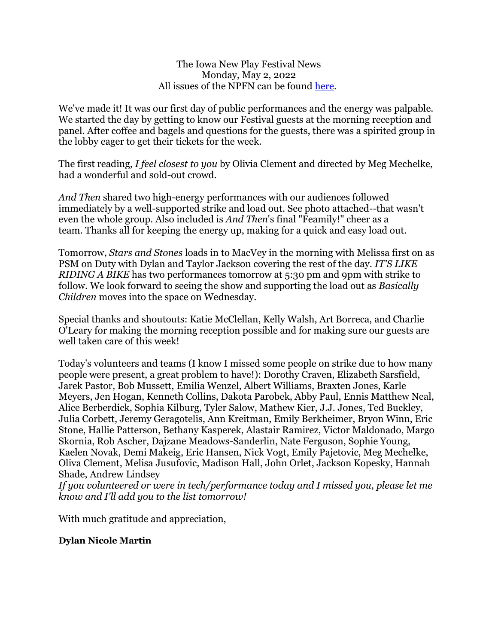The Iowa New Play Festival News Monday, May 2, 2022 All issues of the NPFN can be found [here.](https://wiki.uiowa.edu/display/theatre/The+New+Play+Festival+News)

We've made it! It was our first day of public performances and the energy was palpable. We started the day by getting to know our Festival guests at the morning reception and panel. After coffee and bagels and questions for the guests, there was a spirited group in the lobby eager to get their tickets for the week.

The first reading, *I feel closest to you* by Olivia Clement and directed by Meg Mechelke, had a wonderful and sold-out crowd.

*And Then* shared two high-energy performances with our audiences followed immediately by a well-supported strike and load out. See photo attached--that wasn't even the whole group. Also included is *And Then*'s final "Feamily!" cheer as a team. Thanks all for keeping the energy up, making for a quick and easy load out.

Tomorrow, *Stars and Stones* loads in to MacVey in the morning with Melissa first on as PSM on Duty with Dylan and Taylor Jackson covering the rest of the day. *IT'S LIKE RIDING A BIKE* has two performances tomorrow at 5:30 pm and 9pm with strike to follow. We look forward to seeing the show and supporting the load out as *Basically Children* moves into the space on Wednesday.

Special thanks and shoutouts: Katie McClellan, Kelly Walsh, Art Borreca, and Charlie O'Leary for making the morning reception possible and for making sure our guests are well taken care of this week!

Today's volunteers and teams (I know I missed some people on strike due to how many people were present, a great problem to have!): Dorothy Craven, Elizabeth Sarsfield, Jarek Pastor, Bob Mussett, Emilia Wenzel, Albert Williams, Braxten Jones, Karle Meyers, Jen Hogan, Kenneth Collins, Dakota Parobek, Abby Paul, Ennis Matthew Neal, Alice Berberdick, Sophia Kilburg, Tyler Salow, Mathew Kier, J.J. Jones, Ted Buckley, Julia Corbett, Jeremy Geragotelis, Ann Kreitman, Emily Berkheimer, Bryon Winn, Eric Stone, Hallie Patterson, Bethany Kasperek, Alastair Ramirez, Victor Maldonado, Margo Skornia, Rob Ascher, Dajzane Meadows-Sanderlin, Nate Ferguson, Sophie Young, Kaelen Novak, Demi Makeig, Eric Hansen, Nick Vogt, Emily Pajetovic, Meg Mechelke, Oliva Clement, Melisa Jusufovic, Madison Hall, John Orlet, Jackson Kopesky, Hannah Shade, Andrew Lindsey

*If you volunteered or were in tech/performance today and I missed you, please let me know and I'll add you to the list tomorrow!*

With much gratitude and appreciation,

## **Dylan Nicole Martin**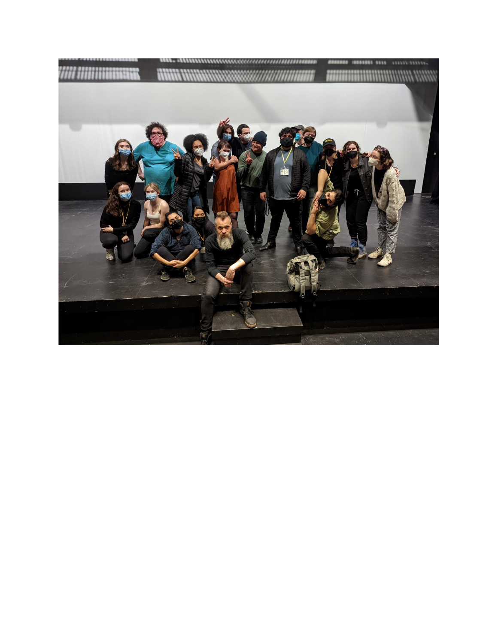